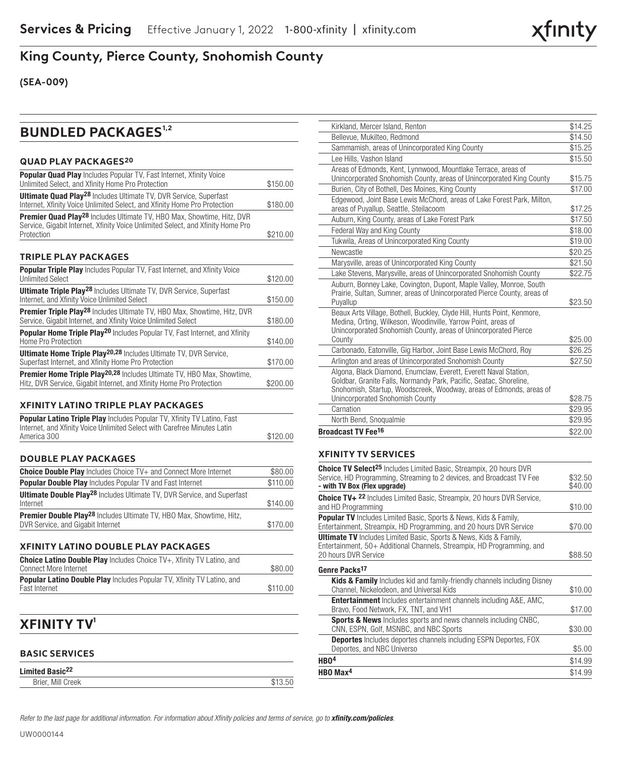# **King County, Pierce County, Snohomish County**

**(SEA-009)**

# **BUNDLED PACKAGES<sup>1,2</sup>**

#### **QUAD PLAY PACKAGES20**

| <b>Popular Quad Play</b> Includes Popular TV, Fast Internet, Xfinity Voice<br>Unlimited Select, and Xfinity Home Pro Protection                                             | \$150.00 |
|-----------------------------------------------------------------------------------------------------------------------------------------------------------------------------|----------|
| <b>Ultimate Quad Play<sup>28</sup></b> Includes Ultimate TV, DVR Service, Superfast<br>Internet, Xfinity Voice Unlimited Select, and Xfinity Home Pro Protection            | \$180.00 |
| <b>Premier Quad Play<sup>28</sup></b> Includes Ultimate TV, HBO Max, Showtime, Hitz, DVR<br>Service, Gigabit Internet, Xfinity Voice Unlimited Select, and Xfinity Home Pro |          |
| Protection                                                                                                                                                                  | \$210.00 |

#### **TRIPLE PLAY PACKAGES**

| <b>Popular Triple Play</b> Includes Popular TV, Fast Internet, and Xfinity Voice                                                                            |          |
|-------------------------------------------------------------------------------------------------------------------------------------------------------------|----------|
| <b>Unlimited Select</b>                                                                                                                                     | \$120.00 |
| <b>Ultimate Triple Play<sup>28</sup></b> Includes Ultimate TV, DVR Service, Superfast                                                                       |          |
| Internet, and Xfinity Voice Unlimited Select                                                                                                                | \$150.00 |
| <b>Premier Triple Play<sup>28</sup></b> Includes Ultimate TV, HBO Max, Showtime, Hitz, DVR<br>Service, Gigabit Internet, and Xfinity Voice Unlimited Select | \$180.00 |
|                                                                                                                                                             |          |
| <b>Popular Home Triple Play<sup>20</sup></b> Includes Popular TV, Fast Internet, and Xfinity                                                                |          |
| Home Pro Protection                                                                                                                                         | \$140.00 |
| <b>Ultimate Home Triple Play<sup>20,28</sup></b> Includes Ultimate TV, DVR Service,                                                                         |          |
| Superfast Internet, and Xfinity Home Pro Protection                                                                                                         | \$170.00 |
| <b>Premier Home Triple Play<sup>20,28</sup></b> Includes Ultimate TV, HBO Max, Showtime,                                                                    |          |
| Hitz, DVR Service, Gigabit Internet, and Xfinity Home Pro Protection                                                                                        | \$200.00 |
|                                                                                                                                                             |          |

### **XFINITY LATINO TRIPLE PLAY PACKAGES**

| <b>Popular Latino Triple Play</b> Includes Popular TV, Xfinity TV Latino, Fast |          |
|--------------------------------------------------------------------------------|----------|
| Internet, and Xfinity Voice Unlimited Select with Carefree Minutes Latin       |          |
| America 300                                                                    | \$120.00 |

#### **DOUBLE PLAY PACKAGES**

| <b>Choice Double Play</b> Includes Choice TV+ and Connect More Internet                                                     | \$80.00  |
|-----------------------------------------------------------------------------------------------------------------------------|----------|
| <b>Popular Double Play</b> Includes Popular TV and Fast Internet                                                            | \$110.00 |
| <b>Ultimate Double Play<sup>28</sup></b> Includes Ultimate TV, DVR Service, and Superfast<br>Internet                       | \$140.00 |
| <b>Premier Double Play<sup>28</sup></b> Includes Ultimate TV, HBO Max, Showtime, Hitz,<br>DVR Service, and Gigabit Internet |          |

#### **XFINITY LATINO DOUBLE PLAY PACKAGES**

| <b>Choice Latino Double Play</b> Includes Choice TV+. Xfinity TV Latino, and  |          |
|-------------------------------------------------------------------------------|----------|
| <b>Connect More Internet</b>                                                  | \$80.00  |
| <b>Popular Latino Double Play</b> Includes Popular TV, Xfinity TV Latino, and |          |
| Fast Internet                                                                 | \$110.00 |

## **XFINITY TV1**

#### **BASIC SERVICES**

| Limited Basic <sup>22</sup> |         |
|-----------------------------|---------|
| Brier, Mill Creek           | \$13.50 |

| Kirkland, Mercer Island, Renton                                                                                                                                                                               | \$14.25 |
|---------------------------------------------------------------------------------------------------------------------------------------------------------------------------------------------------------------|---------|
| Bellevue, Mukilteo, Redmond                                                                                                                                                                                   | \$14.50 |
| Sammamish, areas of Unincorporated King County                                                                                                                                                                | \$15.25 |
| Lee Hills, Vashon Island                                                                                                                                                                                      | \$15.50 |
| Areas of Edmonds, Kent, Lynnwood, Mountlake Terrace, areas of                                                                                                                                                 |         |
| Unincorporated Snohomish County, areas of Unincorporated King County                                                                                                                                          | \$15.75 |
| Burien, City of Bothell, Des Moines, King County                                                                                                                                                              | \$17.00 |
| Edgewood, Joint Base Lewis McChord, areas of Lake Forest Park, Milton,<br>areas of Puyallup, Seattle, Steilacoom                                                                                              | \$17.25 |
| Auburn, King County, areas of Lake Forest Park                                                                                                                                                                | \$17.50 |
| Federal Way and King County                                                                                                                                                                                   | \$18.00 |
| Tukwila, Areas of Unincorporated King County                                                                                                                                                                  | \$19.00 |
| Newcastle                                                                                                                                                                                                     | \$20.25 |
| Marysville, areas of Unincorporated King County                                                                                                                                                               | \$21.50 |
| Lake Stevens, Marysville, areas of Unincorporated Snohomish County                                                                                                                                            | \$22.75 |
| Auburn, Bonney Lake, Covington, Dupont, Maple Valley, Monroe, South<br>Prairie, Sultan, Sumner, areas of Unincorporated Pierce County, areas of                                                               |         |
| Puyallup                                                                                                                                                                                                      | \$23.50 |
| Beaux Arts Village, Bothell, Buckley, Clyde Hill, Hunts Point, Kenmore,<br>Medina, Orting, Wilkeson, Woodinville, Yarrow Point, areas of<br>Unincorporated Snohomish County, areas of Unincorporated Pierce   |         |
| County                                                                                                                                                                                                        | \$25.00 |
| Carbonado, Eatonville, Gig Harbor, Joint Base Lewis McChord, Roy                                                                                                                                              | \$26.25 |
| Arlington and areas of Unincorporated Snohomish County                                                                                                                                                        | \$27.50 |
| Algona, Black Diamond, Enumclaw, Everett, Everett Naval Station,<br>Goldbar, Granite Falls, Normandy Park, Pacific, Seatac, Shoreline,<br>Snohomish, Startup, Woodscreek, Woodway, areas of Edmonds, areas of |         |
| Unincorporated Snohomish County                                                                                                                                                                               | \$28.75 |
| Carnation                                                                                                                                                                                                     | \$29.95 |
| North Bend, Snogualmie                                                                                                                                                                                        | \$29.95 |
| <b>Broadcast TV Fee<sup>16</sup></b>                                                                                                                                                                          | \$22.00 |

xfinity

#### **XFINITY TV SERVICES**

| <b>Choice TV Select<sup>25</sup></b> Includes Limited Basic, Streampix, 20 hours DVR                                                                                       |                    |
|----------------------------------------------------------------------------------------------------------------------------------------------------------------------------|--------------------|
| Service, HD Programming, Streaming to 2 devices, and Broadcast TV Fee<br>- with TV Box (Flex upgrade)                                                                      | \$32.50<br>\$40.00 |
| Choice TV+ 22 Includes Limited Basic, Streampix, 20 hours DVR Service,<br>and HD Programming                                                                               | \$10.00            |
| <b>Popular TV</b> Includes Limited Basic, Sports & News, Kids & Family,<br>Entertainment, Streampix, HD Programming, and 20 hours DVR Service                              | \$70.00            |
| <b>Ultimate TV</b> Includes Limited Basic, Sports & News, Kids & Family,<br>Entertainment, 50+ Additional Channels, Streampix, HD Programming, and<br>20 hours DVR Service | \$88.50            |
| Genre Packs <sup>17</sup>                                                                                                                                                  |                    |
| <b>Kids &amp; Family</b> Includes kid and family-friendly channels including Disney<br>Channel, Nickelodeon, and Universal Kids                                            | \$10.00            |
| <b>Entertainment</b> Includes entertainment channels including A&E, AMC,<br>Bravo, Food Network, FX, TNT, and VH1                                                          | \$17.00            |
| <b>Sports &amp; News</b> Includes sports and news channels including CNBC,<br>CNN, ESPN, Golf, MSNBC, and NBC Sports                                                       | \$30.00            |
| <b>Deportes</b> Includes deportes channels including ESPN Deportes, FOX<br>Deportes, and NBC Universo                                                                      | \$5.00             |
| HB <sub>04</sub>                                                                                                                                                           | \$14.99            |
| HBO Max <sup>4</sup>                                                                                                                                                       | \$14.99            |
|                                                                                                                                                                            |                    |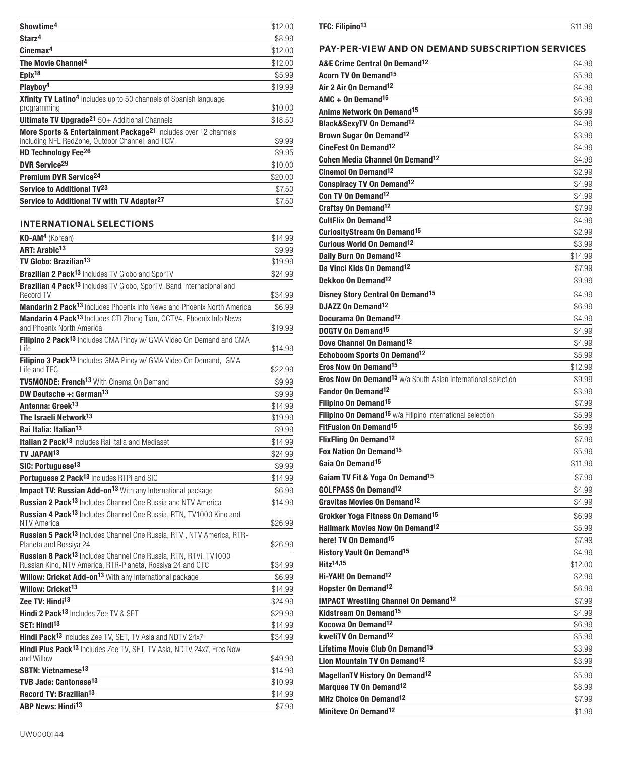| Showtime <sup>4</sup>                                                                                                          | \$12.00 |
|--------------------------------------------------------------------------------------------------------------------------------|---------|
| Starz <sup>4</sup>                                                                                                             | \$8.99  |
| $C$ inemax <sup>4</sup>                                                                                                        | \$12.00 |
| The Movie Channel <sup>4</sup>                                                                                                 | \$12.00 |
| Epix <sup>18</sup>                                                                                                             | \$5.99  |
| Playboy <sup>4</sup>                                                                                                           | \$19.99 |
| <b>Xfinity TV Latino<sup>4</sup></b> Includes up to 50 channels of Spanish language<br>programming                             | \$10.00 |
| <b>Ultimate TV Upgrade<sup>21</sup></b> $50+$ Additional Channels                                                              | \$18.50 |
| More Sports & Entertainment Package <sup>21</sup> Includes over 12 channels<br>including NFL RedZone, Outdoor Channel, and TCM | \$9.99  |
| HD Technology Fee <sup>26</sup>                                                                                                | \$9.95  |
| DVR Service <sup>29</sup>                                                                                                      | \$10.00 |
| Premium DVR Service <sup>24</sup>                                                                                              | \$20.00 |
| Service to Additional TV <sup>23</sup>                                                                                         | \$7.50  |
| Service to Additional TV with TV Adapter <sup>27</sup>                                                                         | \$7.50  |

### **INTERNATIONAL SELECTIONS**

| KO-AM <sup>4</sup> (Korean)                                                                                                               | \$14.99 |
|-------------------------------------------------------------------------------------------------------------------------------------------|---------|
| ART: Arabic <sup>13</sup>                                                                                                                 | \$9.99  |
| TV Globo: Brazilian <sup>13</sup>                                                                                                         | \$19.99 |
| Brazilian 2 Pack <sup>13</sup> Includes TV Globo and SporTV                                                                               | \$24.99 |
| <b>Brazilian 4 Pack<sup>13</sup></b> Includes TV Globo, SporTV, Band Internacional and<br><b>Record TV</b>                                | \$34.99 |
| Mandarin 2 Pack <sup>13</sup> Includes Phoenix Info News and Phoenix North America                                                        | \$6.99  |
| Mandarin 4 Pack <sup>13</sup> Includes CTI Zhong Tian, CCTV4, Phoenix Info News<br>and Phoenix North America                              | \$19.99 |
| Filipino 2 Pack <sup>13</sup> Includes GMA Pinoy w/ GMA Video On Demand and GMA<br>Life                                                   | \$14.99 |
| Filipino 3 Pack <sup>13</sup> Includes GMA Pinoy w/ GMA Video On Demand, GMA<br>Life and TFC                                              | \$22.99 |
| TV5MONDE: French <sup>13</sup> With Cinema On Demand                                                                                      | \$9.99  |
| DW Deutsche +: German <sup>13</sup>                                                                                                       | \$9.99  |
| Antenna: Greek <sup>13</sup>                                                                                                              | \$14.99 |
| The Israeli Network <sup>13</sup>                                                                                                         | \$19.99 |
| Rai Italia: Italian <sup>13</sup>                                                                                                         | \$9.99  |
| <b>Italian 2 Pack<sup>13</sup></b> Includes Rai Italia and Mediaset                                                                       | \$14.99 |
| TV JAPAN <sup>13</sup>                                                                                                                    | \$24.99 |
| SIC: Portuguese <sup>13</sup>                                                                                                             | \$9.99  |
| Portuguese 2 Pack <sup>13</sup> Includes RTPi and SIC                                                                                     | \$14.99 |
| Impact TV: Russian Add-on <sup>13</sup> With any International package                                                                    | \$6.99  |
| <b>Russian 2 Pack<sup>13</sup></b> Includes Channel One Russia and NTV America                                                            | \$14.99 |
| Russian 4 Pack <sup>13</sup> Includes Channel One Russia, RTN, TV1000 Kino and<br><b>NTV America</b>                                      | \$26.99 |
| Russian 5 Pack <sup>13</sup> Includes Channel One Russia, RTVi, NTV America, RTR-<br>Planeta and Rossiya 24                               | \$26.99 |
| Russian 8 Pack <sup>13</sup> Includes Channel One Russia, RTN, RTVi, TV1000<br>Russian Kino, NTV America, RTR-Planeta, Rossiya 24 and CTC | \$34.99 |
| Willow: Cricket Add-on <sup>13</sup> With any International package                                                                       | \$6.99  |
| Willow: Cricket <sup>13</sup>                                                                                                             | \$14.99 |
| Zee TV: Hindi <sup>13</sup>                                                                                                               | \$24.99 |
| Hindi 2 Pack <sup>13</sup> Includes Zee TV & SET                                                                                          | \$29.99 |
| SET: Hindi <sup>13</sup>                                                                                                                  | \$14.99 |
| Hindi Pack <sup>13</sup> Includes Zee TV, SET, TV Asia and NDTV 24x7                                                                      | \$34.99 |
| Hindi Plus Pack <sup>13</sup> Includes Zee TV, SET, TV Asia, NDTV 24x7, Eros Now<br>and Willow                                            | \$49.99 |
| SBTN: Vietnamese <sup>13</sup>                                                                                                            | \$14.99 |
| TVB Jade: Cantonese <sup>13</sup>                                                                                                         | \$10.99 |
| Record TV: Brazilian <sup>13</sup>                                                                                                        | \$14.99 |
| <b>ABP News: Hindi<sup>13</sup></b>                                                                                                       | \$7.99  |

### TFC: Filipino<sup>13</sup> \$11.99

### **PAY-PER-VIEW AND ON DEMAND SUBSCRIPTION SERVICES**

| A&E Crime Central On Demand <sup>12</sup>                                      | \$4.99            |
|--------------------------------------------------------------------------------|-------------------|
| <b>Acorn TV On Demand<sup>15</sup></b>                                         | \$5.99            |
| Air 2 Air On Demand <sup>12</sup>                                              | \$4.99            |
| AMC + On Demand <sup>15</sup>                                                  | \$6.99            |
| Anime Network On Demand <sup>15</sup>                                          | \$6.99            |
| <b>Black&amp;SexvTV On Demand12</b>                                            | \$4.99            |
| Brown Sugar On Demand <sup>12</sup>                                            | \$3.99            |
| CineFest On Demand <sup>12</sup>                                               | \$4.99            |
| <b>Cohen Media Channel On Demand<sup>12</sup></b>                              | \$4.99            |
| Cinemoi On Demand <sup>12</sup>                                                | \$2.99            |
| <b>Conspiracy TV On Demand<sup>12</sup></b>                                    | \$4.99            |
| Con TV On Demand <sup>12</sup>                                                 | \$4.99            |
| Craftsy On Demand <sup>12</sup>                                                | \$7.99            |
| CultFlix On Demand <sup>12</sup>                                               | \$4.99            |
| <b>CuriosityStream On Demand<sup>15</sup></b>                                  | \$2.99            |
| <b>Curious World On Demand<sup>12</sup></b>                                    | \$3.99            |
| Daily Burn On Demand <sup>12</sup>                                             | \$14.99           |
| Da Vinci Kids On Demand <sup>12</sup>                                          | \$7.99            |
| Dekkoo On Demand <sup>12</sup>                                                 | \$9.99            |
| Disney Story Central On Demand <sup>15</sup>                                   | \$4.99            |
| DJAZZ On Demand <sup>12</sup>                                                  | \$6.99            |
| Docurama On Demand <sup>12</sup>                                               | \$4.99            |
| DOGTV On Demand <sup>15</sup>                                                  | \$4.99            |
| Dove Channel On Demand <sup>12</sup>                                           | \$4.99            |
| Echoboom Sports On Demand <sup>12</sup>                                        | \$5.99            |
| Eros Now On Demand <sup>15</sup>                                               | \$12.99           |
| <b>Eros Now On Demand<sup>15</sup></b> w/a South Asian international selection | \$9.99            |
| Fandor On Demand <sup>12</sup>                                                 | \$3.99            |
| Filipino On Demand <sup>15</sup>                                               | \$7.99            |
| Filipino On Demand <sup>15</sup> w/a Filipino international selection          | \$5.99            |
| <b>FitFusion On Demand<sup>15</sup></b>                                        | \$6.99            |
| <b>FlixFling On Demand<sup>12</sup></b>                                        | \$7.99            |
| Fox Nation On Demand <sup>15</sup>                                             |                   |
| Gaia On Demand <sup>15</sup>                                                   | \$5.99<br>\$11.99 |
|                                                                                |                   |
| Gaiam TV Fit & Yoga On Demand <sup>15</sup>                                    | \$7.99            |
| <b>GOLFPASS On Demand<sup>12</sup></b>                                         | \$4.99            |
| Gravitas Movies On Demand <sup>12</sup>                                        | \$4.99            |
| Grokker Yoga Fitness On Demand <sup>15</sup>                                   | \$6.99            |
| <b>Hallmark Movies Now On Demand12</b>                                         | \$5.99            |
| here! TV On Demand <sup>15</sup>                                               | \$7.99            |
| <b>History Vault On Demand<sup>15</sup></b>                                    | \$4.99            |
| <b>Hitz14,15</b>                                                               | \$12.00           |
| Hi-YAH! On Demand <sup>12</sup>                                                | \$2.99            |
| Hopster On Demand <sup>12</sup>                                                | \$6.99            |
| <b>IMPACT Wrestling Channel On Demand<sup>12</sup></b>                         | \$7.99            |
| Kidstream On Demand <sup>15</sup>                                              | \$4.99            |
| Kocowa On Demand <sup>12</sup>                                                 | \$6.99            |
| kweliTV On Demand <sup>12</sup>                                                | \$5.99            |
| Lifetime Movie Club On Demand <sup>15</sup>                                    | \$3.99            |
| Lion Mountain TV On Demand <sup>12</sup>                                       | \$3.99            |
| <b>MagellanTV History On Demand12</b>                                          | \$5.99            |
| Marquee TV On Demand <sup>12</sup>                                             | \$8.99            |
| MHz Choice On Demand <sup>12</sup>                                             | \$7.99            |
| Miniteve On Demand <sup>12</sup>                                               | \$1.99            |
|                                                                                |                   |

UW0000144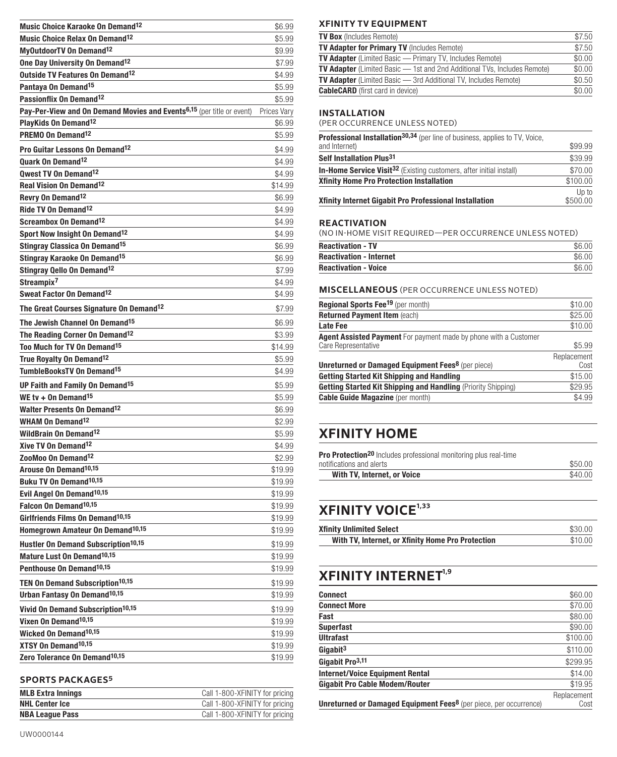| Music Choice Karaoke On Demand <sup>12</sup>                                      | \$6.99      |
|-----------------------------------------------------------------------------------|-------------|
| Music Choice Relax On Demand <sup>12</sup>                                        | \$5.99      |
| MyOutdoorTV On Demand <sup>12</sup>                                               | \$9.99      |
| One Day University On Demand <sup>12</sup>                                        | \$7.99      |
| Outside TV Features On Demand <sup>12</sup>                                       | \$4.99      |
| Pantaya On Demand <sup>15</sup>                                                   | \$5.99      |
| Passionflix On Demand <sup>12</sup>                                               | \$5.99      |
| Pay-Per-View and On Demand Movies and Events <sup>6,15</sup> (per title or event) | Prices Vary |
| PlayKids On Demand <sup>12</sup>                                                  | \$6.99      |
| PREMO On Demand <sup>12</sup>                                                     | \$5.99      |
| Pro Guitar Lessons On Demand <sup>12</sup>                                        | \$4.99      |
| <b>Ouark On Demand<sup>12</sup></b>                                               | \$4.99      |
| Qwest TV On Demand <sup>12</sup>                                                  | \$4.99      |
| <b>Real Vision On Demand<sup>12</sup></b>                                         | \$14.99     |
| Revry On Demand <sup>12</sup>                                                     | \$6.99      |
| Ride TV On Demand <sup>12</sup>                                                   | \$4.99      |
| Screambox On Demand <sup>12</sup>                                                 | \$4.99      |
| Sport Now Insight On Demand <sup>12</sup>                                         | \$4.99      |
| <b>Stingray Classica On Demand<sup>15</sup></b>                                   | \$6.99      |
| Stingray Karaoke On Demand <sup>15</sup>                                          | \$6.99      |
| Stingray Qello On Demand <sup>12</sup>                                            | \$7.99      |
| Streampix <sup>7</sup>                                                            | \$4.99      |
| Sweat Factor On Demand <sup>12</sup>                                              | \$4.99      |
| The Great Courses Signature On Demand <sup>12</sup>                               | \$7.99      |
| The Jewish Channel On Demand <sup>15</sup>                                        | \$6.99      |
| The Reading Corner On Demand <sup>12</sup>                                        | \$3.99      |
| Too Much for TV On Demand <sup>15</sup>                                           | \$14.99     |
| True Royalty On Demand <sup>12</sup>                                              | \$5.99      |
| TumbleBooksTV On Demand <sup>15</sup>                                             | \$4.99      |
| UP Faith and Family On Demand <sup>15</sup>                                       | \$5.99      |
| WE tv + On Demand <sup>15</sup>                                                   | \$5.99      |
| <b>Walter Presents On Demand<sup>12</sup></b>                                     | \$6.99      |
| <b>WHAM On Demand<sup>12</sup></b>                                                | \$2.99      |
| <b>WildBrain On Demand<sup>12</sup></b>                                           | \$5.99      |
| Xive TV On Demand <sup>12</sup>                                                   | \$4.99      |
| ZooMoo On Demand <sup>12</sup>                                                    | \$2.99      |
| Arouse On Demand <sup>10,15</sup>                                                 | \$19.99     |
| Buku TV On Demand <sup>10,15</sup>                                                | \$19.99     |
| Evil Angel On Demand <sup>10,15</sup>                                             | \$19.99     |
| Falcon On Demand <sup>10,15</sup>                                                 | \$19.99     |
| Girlfriends Films On Demand <sup>10,15</sup>                                      | \$19.99     |
| Homegrown Amateur On Demand <sup>10,15</sup>                                      | \$19.99     |
| <b>Hustler On Demand Subscription<sup>10,15</sup></b>                             | \$19.99     |
| Mature Lust On Demand <sup>10,15</sup>                                            | \$19.99     |
| Penthouse On Demand <sup>10,15</sup>                                              | \$19.99     |
| <b>TEN On Demand Subscription<sup>10,15</sup></b>                                 | \$19.99     |
| <b>Urban Fantasy On Demand<sup>10,15</sup></b>                                    | \$19.99     |
| Vivid On Demand Subscription <sup>10,15</sup>                                     | \$19.99     |
| Vixen On Demand <sup>10,15</sup>                                                  | \$19.99     |
| Wicked On Demand <sup>10,15</sup>                                                 | \$19.99     |
| XTSY On Demand <sup>10,15</sup>                                                   | \$19.99     |
| Zero Tolerance On Demand <sup>10,15</sup>                                         | \$19.99     |

### **SPORTS PACKAGES5**

| <b>MLB Extra Innings</b> | Call 1-800-XFINITY for pricing |
|--------------------------|--------------------------------|
| <b>NHL Center Ice</b>    | Call 1-800-XFINITY for pricing |
| <b>NBA League Pass</b>   | Call 1-800-XFINITY for pricing |
|                          |                                |

### **XFINITY TV EQUIPMENT**

| <b>TV Box</b> (Includes Remote)                                                 | \$7.50 |
|---------------------------------------------------------------------------------|--------|
| <b>TV Adapter for Primary TV</b> (Includes Remote)                              | \$7.50 |
| <b>TV Adapter</b> (Limited Basic - Primary TV, Includes Remote)                 | \$0.00 |
| <b>TV Adapter</b> (Limited Basic - 1st and 2nd Additional TVs, Includes Remote) | \$0.00 |
| <b>TV Adapter</b> (Limited Basic - 3rd Additional TV, Includes Remote)          | \$0.50 |
| <b>CableCARD</b> (first card in device)                                         | \$0.00 |

### **INSTALLATION**

(PER OCCURRENCE UNLESS NOTED)

| <b>Professional Installation<sup>30,34</sup></b> (per line of business, applies to TV, Voice, |                   |
|-----------------------------------------------------------------------------------------------|-------------------|
| and Internet)                                                                                 | \$99.99           |
| Self Installation Plus <sup>31</sup>                                                          | \$39.99           |
| <b>In-Home Service Visit<sup>32</sup></b> (Existing customers, after initial install)         | \$70.00           |
| <b>Xfinity Home Pro Protection Installation</b>                                               | \$100.00          |
| <b>Xfinity Internet Gigabit Pro Professional Installation</b>                                 | Up to<br>\$500.00 |

#### **REACTIVATION**

(NO IN-HOME VISIT REQUIRED—PER OCCURRENCE UNLESS NOTED)

| <b>Reactivation - TV</b>       |        |
|--------------------------------|--------|
| <b>Reactivation - Internet</b> | \$6.00 |
| <b>Reactivation - Voice</b>    | \$6.00 |

#### **MISCELLANEOUS** (PER OCCURRENCE UNLESS NOTED)

| <b>Regional Sports Fee<sup>19</sup></b> (per month)                                            | \$10.00             |
|------------------------------------------------------------------------------------------------|---------------------|
| <b>Returned Payment Item (each)</b>                                                            | \$25.00             |
| <b>Late Fee</b>                                                                                | \$10.00             |
| <b>Agent Assisted Payment</b> For payment made by phone with a Customer<br>Care Representative | \$5.99              |
| <b>Unreturned or Damaged Equipment Fees<sup>8</sup> (per piece)</b>                            | Replacement<br>Cost |
| <b>Getting Started Kit Shipping and Handling</b>                                               | \$15.00             |
| <b>Getting Started Kit Shipping and Handling (Priority Shipping)</b>                           | \$29.95             |
| <b>Cable Guide Magazine</b> (per month)                                                        | \$4.99              |

# **XFINITY HOME**

| <b>Pro Protection<sup>20</sup></b> Includes professional monitoring plus real-time |         |
|------------------------------------------------------------------------------------|---------|
| notifications and alerts                                                           | \$50.00 |
| With TV, Internet, or Voice                                                        | \$40.00 |

# **XFINITY VOICE1,33**

| <b>Xfinity Unlimited Select</b>                   | \$30.00 |
|---------------------------------------------------|---------|
| With TV, Internet, or Xfinity Home Pro Protection | \$10.00 |

# **XFINITY INTERNET1,9**

| Connect                                                                             | \$60.00             |
|-------------------------------------------------------------------------------------|---------------------|
| <b>Connect More</b>                                                                 | \$70.00             |
| Fast                                                                                | \$80.00             |
| Superfast                                                                           | \$90.00             |
| Ultrafast                                                                           | \$100.00            |
| Gigabit <sup>3</sup>                                                                | \$110.00            |
| Gigabit Pro <sup>3,11</sup>                                                         | \$299.95            |
| <b>Internet/Voice Equipment Rental</b>                                              | \$14.00             |
| <b>Gigabit Pro Cable Modem/Router</b>                                               | \$19.95             |
| <b>Unreturned or Damaged Equipment Fees<sup>8</sup> (per piece, per occurrence)</b> | Replacement<br>Cost |